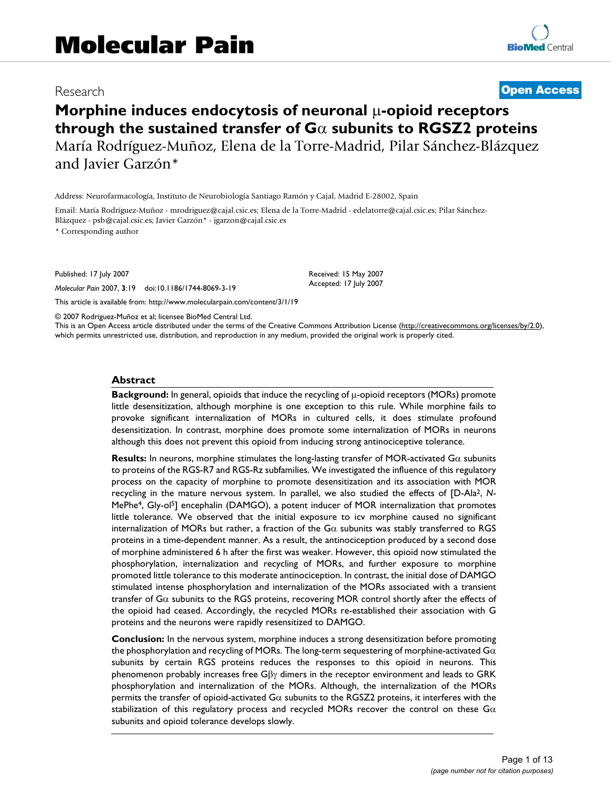# Research **[Open Access](http://www.biomedcentral.com/info/about/charter/)**

# **Morphine induces endocytosis of neuronal** µ**-opioid receptors through the sustained transfer of G**α **subunits to RGSZ2 proteins** María Rodríguez-Muñoz, Elena de la Torre-Madrid, Pilar Sánchez-Blázquez and Javier Garzón\*

| Address: Neurofarmacología, Instituto de Neurobiología Santiago Ramón y Cajal, Madrid E-28002, Spain |  |  |  |
|------------------------------------------------------------------------------------------------------|--|--|--|

Email: María Rodríguez-Muñoz - mrodriguez@cajal.csic.es; Elena de la Torre-Madrid - edelatorre@cajal.csic.es; Pilar Sánchez-Blázquez - psb@cajal.csic.es; Javier Garzón\* - jgarzon@cajal.csic.es

\* Corresponding author

Published: 17 July 2007

*Molecular Pain* 2007, **3**:19 doi:10.1186/1744-8069-3-19

[This article is available from: http://www.molecularpain.com/content/3/1/19](http://www.molecularpain.com/content/3/1/19)

© 2007 Rodríguez-Muñoz et al; licensee BioMed Central Ltd.

This is an Open Access article distributed under the terms of the Creative Commons Attribution License [\(http://creativecommons.org/licenses/by/2.0\)](http://creativecommons.org/licenses/by/2.0), which permits unrestricted use, distribution, and reproduction in any medium, provided the original work is properly cited.

Received: 15 May 2007 Accepted: 17 July 2007

### **Abstract**

**Background:** In general, opioids that induce the recycling of µ-opioid receptors (MORs) promote little desensitization, although morphine is one exception to this rule. While morphine fails to provoke significant internalization of MORs in cultured cells, it does stimulate profound desensitization. In contrast, morphine does promote some internalization of MORs in neurons although this does not prevent this opioid from inducing strong antinociceptive tolerance.

**Results:** In neurons, morphine stimulates the long-lasting transfer of MOR-activated Gα subunits to proteins of the RGS-R7 and RGS-Rz subfamilies. We investigated the influence of this regulatory process on the capacity of morphine to promote desensitization and its association with MOR recycling in the mature nervous system. In parallel, we also studied the effects of [D-Ala2, *N*-MePhe<sup>4</sup>, Gly-ol<sup>5</sup>] encephalin (DAMGO), a potent inducer of MOR internalization that promotes little tolerance. We observed that the initial exposure to icv morphine caused no significant internalization of MORs but rather, a fraction of the  $G\alpha$  subunits was stably transferred to RGS proteins in a time-dependent manner. As a result, the antinociception produced by a second dose of morphine administered 6 h after the first was weaker. However, this opioid now stimulated the phosphorylation, internalization and recycling of MORs, and further exposure to morphine promoted little tolerance to this moderate antinociception. In contrast, the initial dose of DAMGO stimulated intense phosphorylation and internalization of the MORs associated with a transient transfer of Gα subunits to the RGS proteins, recovering MOR control shortly after the effects of the opioid had ceased. Accordingly, the recycled MORs re-established their association with G proteins and the neurons were rapidly resensitized to DAMGO.

**Conclusion:** In the nervous system, morphine induces a strong desensitization before promoting the phosphorylation and recycling of MORs. The long-term sequestering of morphine-activated  $G\alpha$ subunits by certain RGS proteins reduces the responses to this opioid in neurons. This phenomenon probably increases free  $G\beta\gamma$  dimers in the receptor environment and leads to GRK phosphorylation and internalization of the MORs. Although, the internalization of the MORs permits the transfer of opioid-activated  $G\alpha$  subunits to the RGSZ2 proteins, it interferes with the stabilization of this regulatory process and recycled MORs recover the control on these  $G\alpha$ subunits and opioid tolerance develops slowly.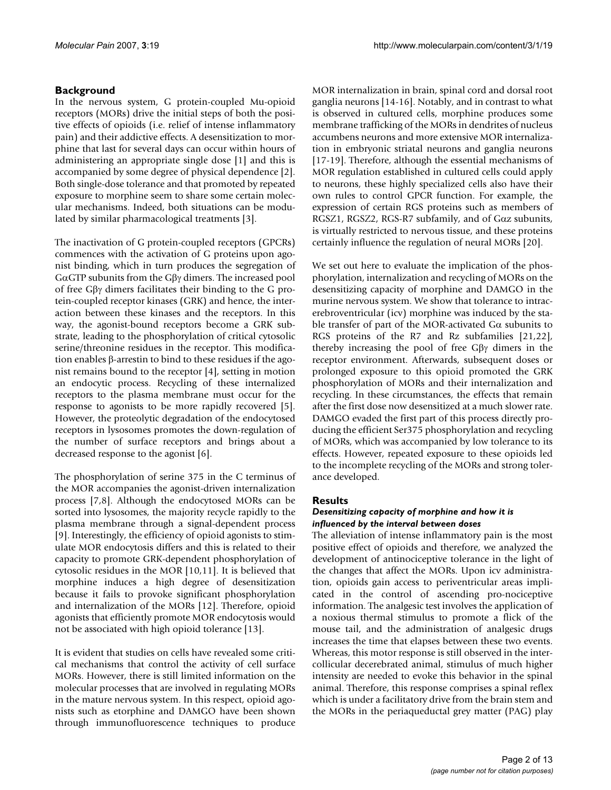# **Background**

In the nervous system, G protein-coupled Mu-opioid receptors (MORs) drive the initial steps of both the positive effects of opioids (i.e. relief of intense inflammatory pain) and their addictive effects. A desensitization to morphine that last for several days can occur within hours of administering an appropriate single dose [1] and this is accompanied by some degree of physical dependence [2]. Both single-dose tolerance and that promoted by repeated exposure to morphine seem to share some certain molecular mechanisms. Indeed, both situations can be modulated by similar pharmacological treatments [3].

The inactivation of G protein-coupled receptors (GPCRs) commences with the activation of G proteins upon agonist binding, which in turn produces the segregation of GαGTP subunits from the Gβγ dimers. The increased pool of free Gβγ dimers facilitates their binding to the G protein-coupled receptor kinases (GRK) and hence, the interaction between these kinases and the receptors. In this way, the agonist-bound receptors become a GRK substrate, leading to the phosphorylation of critical cytosolic serine/threonine residues in the receptor. This modification enables β-arrestin to bind to these residues if the agonist remains bound to the receptor [4], setting in motion an endocytic process. Recycling of these internalized receptors to the plasma membrane must occur for the response to agonists to be more rapidly recovered [5]. However, the proteolytic degradation of the endocytosed receptors in lysosomes promotes the down-regulation of the number of surface receptors and brings about a decreased response to the agonist [6].

The phosphorylation of serine 375 in the C terminus of the MOR accompanies the agonist-driven internalization process [7,8]. Although the endocytosed MORs can be sorted into lysosomes, the majority recycle rapidly to the plasma membrane through a signal-dependent process [9]. Interestingly, the efficiency of opioid agonists to stimulate MOR endocytosis differs and this is related to their capacity to promote GRK-dependent phosphorylation of cytosolic residues in the MOR [10,11]. It is believed that morphine induces a high degree of desensitization because it fails to provoke significant phosphorylation and internalization of the MORs [12]. Therefore, opioid agonists that efficiently promote MOR endocytosis would not be associated with high opioid tolerance [13].

It is evident that studies on cells have revealed some critical mechanisms that control the activity of cell surface MORs. However, there is still limited information on the molecular processes that are involved in regulating MORs in the mature nervous system. In this respect, opioid agonists such as etorphine and DAMGO have been shown through immunofluorescence techniques to produce

MOR internalization in brain, spinal cord and dorsal root ganglia neurons [14-16]. Notably, and in contrast to what is observed in cultured cells, morphine produces some membrane trafficking of the MORs in dendrites of nucleus accumbens neurons and more extensive MOR internalization in embryonic striatal neurons and ganglia neurons [17-19]. Therefore, although the essential mechanisms of MOR regulation established in cultured cells could apply to neurons, these highly specialized cells also have their own rules to control GPCR function. For example, the expression of certain RGS proteins such as members of RGSZ1, RGSZ2, RGS-R7 subfamily, and of Gαz subunits, is virtually restricted to nervous tissue, and these proteins certainly influence the regulation of neural MORs [20].

We set out here to evaluate the implication of the phosphorylation, internalization and recycling of MORs on the desensitizing capacity of morphine and DAMGO in the murine nervous system. We show that tolerance to intracerebroventricular (icv) morphine was induced by the stable transfer of part of the MOR-activated Gα subunits to RGS proteins of the R7 and Rz subfamilies [21,22], thereby increasing the pool of free Gβγ dimers in the receptor environment. Afterwards, subsequent doses or prolonged exposure to this opioid promoted the GRK phosphorylation of MORs and their internalization and recycling. In these circumstances, the effects that remain after the first dose now desensitized at a much slower rate. DAMGO evaded the first part of this process directly producing the efficient Ser375 phosphorylation and recycling of MORs, which was accompanied by low tolerance to its effects. However, repeated exposure to these opioids led to the incomplete recycling of the MORs and strong tolerance developed.

# **Results**

# *Desensitizing capacity of morphine and how it is influenced by the interval between doses*

The alleviation of intense inflammatory pain is the most positive effect of opioids and therefore, we analyzed the development of antinociceptive tolerance in the light of the changes that affect the MORs. Upon icv administration, opioids gain access to periventricular areas implicated in the control of ascending pro-nociceptive information. The analgesic test involves the application of a noxious thermal stimulus to promote a flick of the mouse tail, and the administration of analgesic drugs increases the time that elapses between these two events. Whereas, this motor response is still observed in the intercollicular decerebrated animal, stimulus of much higher intensity are needed to evoke this behavior in the spinal animal. Therefore, this response comprises a spinal reflex which is under a facilitatory drive from the brain stem and the MORs in the periaqueductal grey matter (PAG) play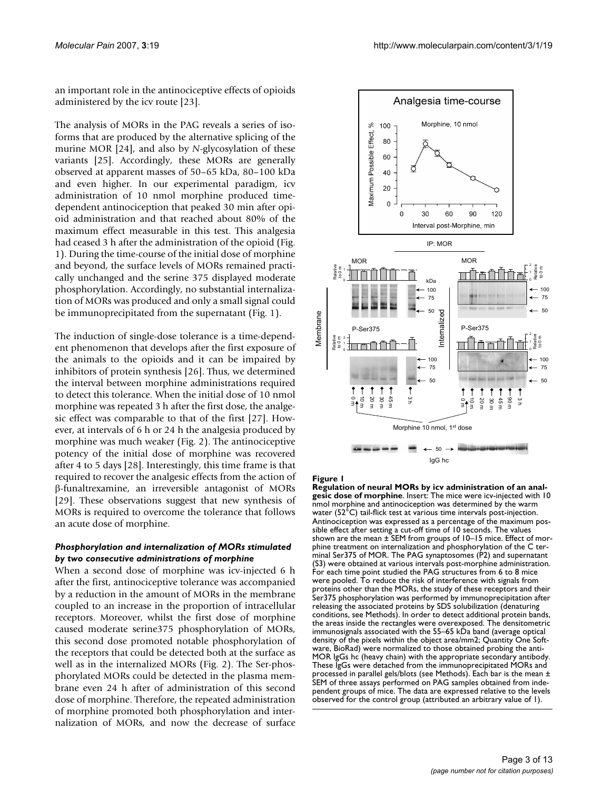an important role in the antinociceptive effects of opioids administered by the icv route [23].

The analysis of MORs in the PAG reveals a series of isoforms that are produced by the alternative splicing of the murine MOR [24], and also by *N*-glycosylation of these variants [25]. Accordingly, these MORs are generally observed at apparent masses of 50–65 kDa, 80–100 kDa and even higher. In our experimental paradigm, icv administration of 10 nmol morphine produced timedependent antinociception that peaked 30 min after opioid administration and that reached about 80% of the maximum effect measurable in this test. This analgesia had ceased 3 h after the administration of the opioid (Fig. 1). During the time-course of the initial dose of morphine and beyond, the surface levels of MORs remained practically unchanged and the serine 375 displayed moderate phosphorylation. Accordingly, no substantial internalization of MORs was produced and only a small signal could be immunoprecipitated from the supernatant (Fig. 1).

The induction of single-dose tolerance is a time-dependent phenomenon that develops after the first exposure of the animals to the opioids and it can be impaired by inhibitors of protein synthesis [26]. Thus, we determined the interval between morphine administrations required to detect this tolerance. When the initial dose of 10 nmol morphine was repeated 3 h after the first dose, the analgesic effect was comparable to that of the first [27]. However, at intervals of 6 h or 24 h the analgesia produced by morphine was much weaker (Fig. 2). The antinociceptive potency of the initial dose of morphine was recovered after 4 to 5 days [28]. Interestingly, this time frame is that required to recover the analgesic effects from the action of β-funaltrexamine, an irreversible antagonist of MORs [29]. These observations suggest that new synthesis of MORs is required to overcome the tolerance that follows an acute dose of morphine.

# *Phosphorylation and internalization of MORs stimulated by two consecutive administrations of morphine*

When a second dose of morphine was icv-injected 6 h after the first, antinociceptive tolerance was accompanied by a reduction in the amount of MORs in the membrane coupled to an increase in the proportion of intracellular receptors. Moreover, whilst the first dose of morphine caused moderate serine375 phosphorylation of MORs, this second dose promoted notable phosphorylation of the receptors that could be detected both at the surface as well as in the internalized MORs (Fig. 2). The Ser-phosphorylated MORs could be detected in the plasma membrane even 24 h after of administration of this second dose of morphine. Therefore, the repeated administration of morphine promoted both phosphorylation and internalization of MORs, and now the decrease of surface



Regulation of neural MORs by icv administration of an analgesic dose of morphine **Figure 1 Regulation of neural MORs by icv administration of an analgesic dose of morphine**. Insert: The mice were icv-injected with 10 nmol morphine and antinociception was determined by the warm water (52<sup>°</sup>C) tail-flick test at various time intervals post-injection. Antinociception was expressed as a percentage of the maximum possible effect after setting a cut-off time of 10 seconds. The values shown are the mean ± SEM from groups of 10–15 mice. Effect of morphine treatment on internalization and phosphorylation of the C terminal Ser375 of MOR. The PAG synaptosomes (P2) and supernatant (S3) were obtained at various intervals post-morphine administration. For each time point studied the PAG structures from 6 to 8 mice were pooled. To reduce the risk of interference with signals from proteins other than the MORs, the study of these receptors and their Ser375 phosphorylation was performed by immunoprecipitation after releasing the associated proteins by SDS solubilization (denaturing conditions, see Methods). In order to detect additional protein bands, the areas inside the rectangles were overexposed. The densitometric immunosignals associated with the 55–65 kDa band (average optical density of the pixels within the object area/mm2; Quantity One Software, BioRad) were normalized to those obtained probing the anti-MOR IgGs hc (heavy chain) with the appropriate secondary antibody. These IgGs were detached from the immunoprecipitated MORs and processed in parallel gels/blots (see Methods). Each bar is the mean ± SEM of three assays performed on PAG samples obtained from independent groups of mice. The data are expressed relative to the levels observed for the control group (attributed an arbitrary value of 1). **Example the control group (at the control group (at the control group (attributed an arbitrary value of the control group (attributed an arbitrary value of the control group (attributed an arbitrary value of 1). The cont**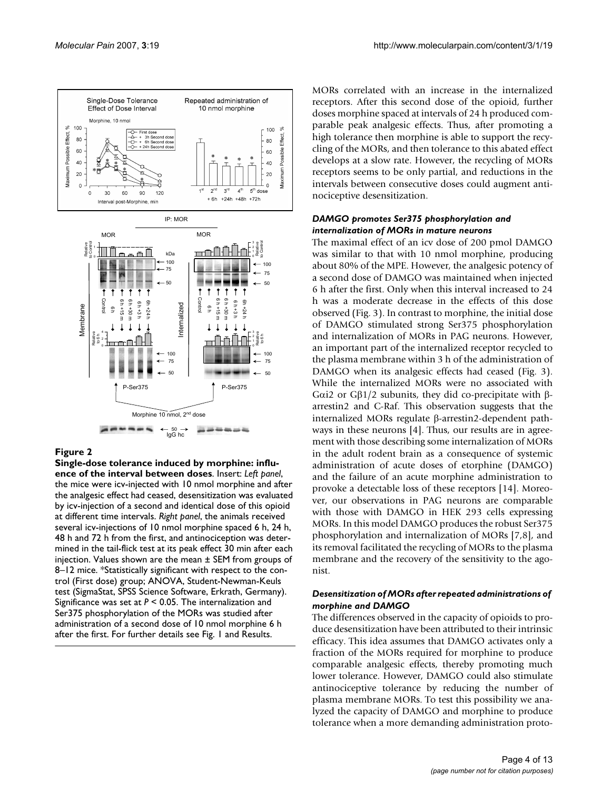

#### **Figure 2**

**Single-dose tolerance induced by morphine: influence of the interval between doses**. Insert: *Left panel*, the mice were icv-injected with 10 nmol morphine and after the analgesic effect had ceased, desensitization was evaluated by icv-injection of a second and identical dose of this opioid at different time intervals. *Right panel*, the animals received several icv-injections of 10 nmol morphine spaced 6 h, 24 h, 48 h and 72 h from the first, and antinociception was determined in the tail-flick test at its peak effect 30 min after each injection. Values shown are the mean ± SEM from groups of 8–12 mice. \*Statistically significant with respect to the control (First dose) group; ANOVA, Student-Newman-Keuls test (SigmaStat, SPSS Science Software, Erkrath, Germany). Significance was set at *P* < 0.05. The internalization and Ser375 phosphorylation of the MORs was studied after administration of a second dose of 10 nmol morphine 6 h Example the first. For further details see Fig. 1 and Reriston of a section of the fig. 1 and Results. The fig. 1 and Reriston of the final set of the final set of the final set of the analgesic effect had ceased, desensi

MORs correlated with an increase in the internalized receptors. After this second dose of the opioid, further doses morphine spaced at intervals of 24 h produced comparable peak analgesic effects. Thus, after promoting a high tolerance then morphine is able to support the recycling of the MORs, and then tolerance to this abated effect develops at a slow rate. However, the recycling of MORs receptors seems to be only partial, and reductions in the intervals between consecutive doses could augment antinociceptive desensitization.

### *DAMGO promotes Ser375 phosphorylation and internalization of MORs in mature neurons*

The maximal effect of an icv dose of 200 pmol DAMGO was similar to that with 10 nmol morphine, producing about 80% of the MPE. However, the analgesic potency of a second dose of DAMGO was maintained when injected 6 h after the first. Only when this interval increased to 24 h was a moderate decrease in the effects of this dose observed (Fig. 3). In contrast to morphine, the initial dose of DAMGO stimulated strong Ser375 phosphorylation and internalization of MORs in PAG neurons. However, an important part of the internalized receptor recycled to the plasma membrane within 3 h of the administration of DAMGO when its analgesic effects had ceased (Fig. 3). While the internalized MORs were no associated with Gαi2 or Gβ1/2 subunits, they did co-precipitate with βarrestin2 and C-Raf. This observation suggests that the internalized MORs regulate β-arrestin2-dependent pathways in these neurons [4]. Thus, our results are in agreement with those describing some internalization of MORs in the adult rodent brain as a consequence of systemic administration of acute doses of etorphine (DAMGO) and the failure of an acute morphine administration to provoke a detectable loss of these receptors [14]. Moreover, our observations in PAG neurons are comparable with those with DAMGO in HEK 293 cells expressing MORs. In this model DAMGO produces the robust Ser375 phosphorylation and internalization of MORs [7,8], and its removal facilitated the recycling of MORs to the plasma membrane and the recovery of the sensitivity to the agonist.

### *Desensitization of MORs after repeated administrations of morphine and DAMGO*

The differences observed in the capacity of opioids to produce desensitization have been attributed to their intrinsic efficacy. This idea assumes that DAMGO activates only a fraction of the MORs required for morphine to produce comparable analgesic effects, thereby promoting much lower tolerance. However, DAMGO could also stimulate antinociceptive tolerance by reducing the number of plasma membrane MORs. To test this possibility we analyzed the capacity of DAMGO and morphine to produce tolerance when a more demanding administration proto-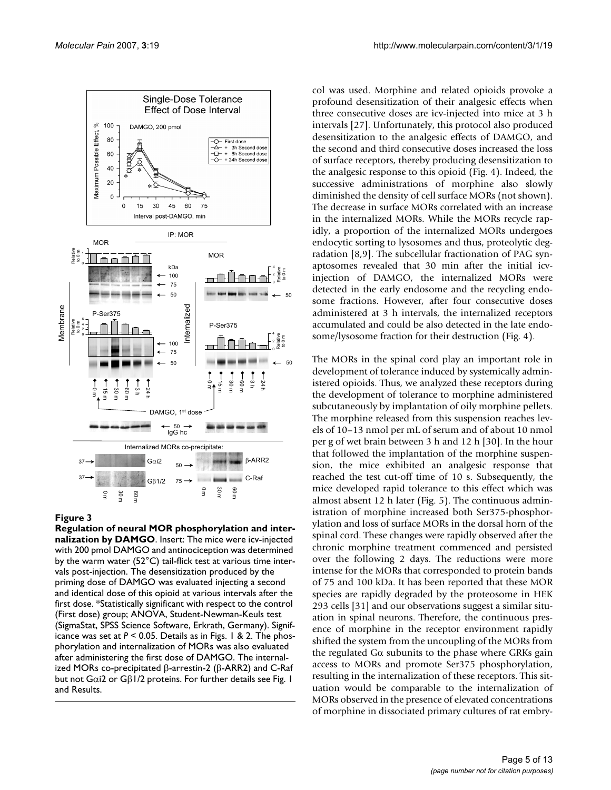

#### **Figure 3**

**Regulation of neural MOR phosphorylation and internalization by DAMGO**. Insert: The mice were icv-injected with 200 pmol DAMGO and antinociception was determined by the warm water (52°C) tail-flick test at various time intervals post-injection. The desensitization produced by the priming dose of DAMGO was evaluated injecting a second and identical dose of this opioid at various intervals after the first dose. \*Statistically significant with respect to the control (First dose) group; ANOVA, Student-Newman-Keuls test (SigmaStat, SPSS Science Software, Erkrath, Germany). Significance was set at *P* < 0.05. Details as in Figs. 1 & 2. The phosphorylation and internalization of MORs was also evaluated after administering the first dose of DAMGO. The internalized MORs co-precipitated β-arrestin-2 (β-ARR2) and C-Raf but not Gαi2 or Gβ1/2 proteins. For further details see Fig. 1 and Results.

col was used. Morphine and related opioids provoke a profound desensitization of their analgesic effects when three consecutive doses are icv-injected into mice at 3 h intervals [27]. Unfortunately, this protocol also produced desensitization to the analgesic effects of DAMGO, and the second and third consecutive doses increased the loss of surface receptors, thereby producing desensitization to the analgesic response to this opioid (Fig. 4). Indeed, the successive administrations of morphine also slowly diminished the density of cell surface MORs (not shown). The decrease in surface MORs correlated with an increase in the internalized MORs. While the MORs recycle rapidly, a proportion of the internalized MORs undergoes endocytic sorting to lysosomes and thus, proteolytic degradation [8,9]. The subcellular fractionation of PAG synaptosomes revealed that 30 min after the initial icvinjection of DAMGO, the internalized MORs were detected in the early endosome and the recycling endosome fractions. However, after four consecutive doses administered at 3 h intervals, the internalized receptors accumulated and could be also detected in the late endosome/lysosome fraction for their destruction (Fig. 4).

The MORs in the spinal cord play an important role in development of tolerance induced by systemically administered opioids. Thus, we analyzed these receptors during the development of tolerance to morphine administered subcutaneously by implantation of oily morphine pellets. The morphine released from this suspension reaches levels of 10–13 nmol per mL of serum and of about 10 nmol per g of wet brain between 3 h and 12 h [30]. In the hour that followed the implantation of the morphine suspension, the mice exhibited an analgesic response that reached the test cut-off time of 10 s. Subsequently, the mice developed rapid tolerance to this effect which was almost absent 12 h later (Fig. 5). The continuous administration of morphine increased both Ser375-phosphorylation and loss of surface MORs in the dorsal horn of the spinal cord. These changes were rapidly observed after the chronic morphine treatment commenced and persisted over the following 2 days. The reductions were more intense for the MORs that corresponded to protein bands of 75 and 100 kDa. It has been reported that these MOR species are rapidly degraded by the proteosome in HEK 293 cells [31] and our observations suggest a similar situation in spinal neurons. Therefore, the continuous presence of morphine in the receptor environment rapidly shifted the system from the uncoupling of the MORs from the regulated G $\alpha$  subunits to the phase where GRKs gain access to MORs and promote Ser375 phosphorylation, resulting in the internalization of these receptors. This situation would be comparable to the internalization of MORs observed in the presence of elevated concentrations of morphine in dissociated primary cultures of rat embry-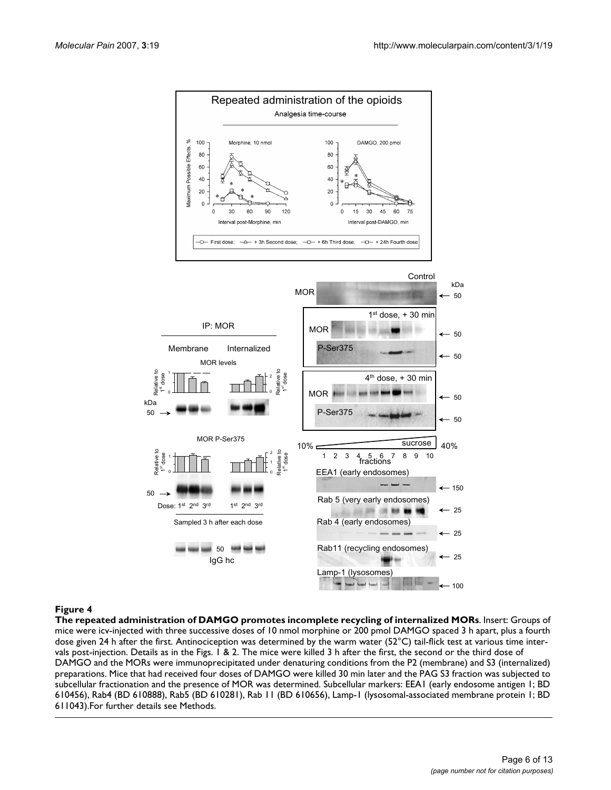

**The repeated administration of DAMGO promotes incomplete recycling of internalized MORs**. Insert: Groups of mice were icv-injected with three successive doses of 10 nmol morphine or 200 pmol DAMGO spaced 3 h apart, plus a fourth dose given 24 h after the first. Antinociception was determined by the warm water ( $52^{\circ}$ C) tail-flick test at various time intervals post-injection. Details as in the Figs. 1 & 2. The mice were killed 3 h after the first, the second or the third dose of DAMGO and the MORs were immunoprecipitated under denaturing conditions from the P2 (membrane) and S3 (internalized) preparations. Mice that had received four doses of DAMGO were killed 30 min later and the PAG S3 fraction was subjected to subcellular fractionation and the presence of MOR was determined. Subcellular markers: EEA1 (early endosome antigen 1; BD 610456), Rab4 (BD 610888), Rab5 (BD 610281), Rab 11 (BD 610656), Lamp-1 (lysosomal-associated membrane protein 1; BD 611043).For further details see Methods.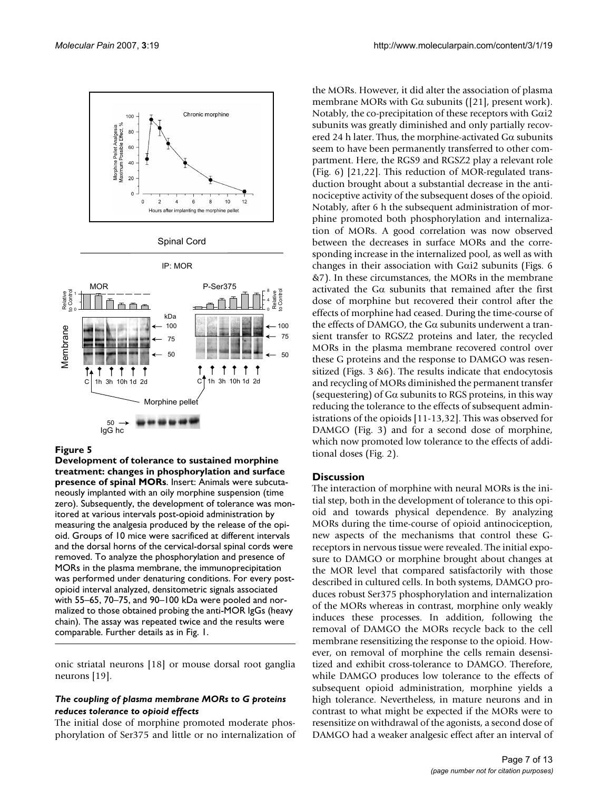







### Figure 5

**Development of tolerance to sustained morphine treatment: changes in phosphorylation and surface presence of spinal MORs**. Insert: Animals were subcutaneously implanted with an oily morphine suspension (time zero). Subsequently, the development of tolerance was monitored at various intervals post-opioid administration by measuring the analgesia produced by the release of the opioid. Groups of 10 mice were sacrificed at different intervals and the dorsal horns of the cervical-dorsal spinal cords were removed. To analyze the phosphorylation and presence of MORs in the plasma membrane, the immunoprecipitation was performed under denaturing conditions. For every postopioid interval analyzed, densitometric signals associated with 55–65, 70–75, and 90–100 kDa were pooled and normalized to those obtained probing the anti-MOR IgGs (heavy chain). The assay was repeated twice and the results were comparable. Further details as in Fig. 1.

onic striatal neurons [18] or mouse dorsal root ganglia neurons [19].

# *The coupling of plasma membrane MORs to G proteins reduces tolerance to opioid effects*

The initial dose of morphine promoted moderate phosphorylation of Ser375 and little or no internalization of the MORs. However, it did alter the association of plasma membrane MORs with G $\alpha$  subunits ([21], present work). Notably, the co-precipitation of these receptors with Gαi2 subunits was greatly diminished and only partially recovered 24 h later. Thus, the morphine-activated Gα subunits seem to have been permanently transferred to other compartment. Here, the RGS9 and RGSZ2 play a relevant role (Fig. 6) [21,22]. This reduction of MOR-regulated transduction brought about a substantial decrease in the antinociceptive activity of the subsequent doses of the opioid. Notably, after 6 h the subsequent administration of morphine promoted both phosphorylation and internalization of MORs. A good correlation was now observed between the decreases in surface MORs and the corresponding increase in the internalized pool, as well as with changes in their association with Gαi2 subunits (Figs. 6 &7). In these circumstances, the MORs in the membrane activated the G $\alpha$  subunits that remained after the first dose of morphine but recovered their control after the effects of morphine had ceased. During the time-course of the effects of DAMGO, the G $\alpha$  subunits underwent a transient transfer to RGSZ2 proteins and later, the recycled MORs in the plasma membrane recovered control over these G proteins and the response to DAMGO was resensitized (Figs. 3 &6). The results indicate that endocytosis and recycling of MORs diminished the permanent transfer (sequestering) of  $G\alpha$  subunits to RGS proteins, in this way reducing the tolerance to the effects of subsequent administrations of the opioids [11-13,32]. This was observed for DAMGO (Fig. 3) and for a second dose of morphine, which now promoted low tolerance to the effects of additional doses (Fig. 2).

# **Discussion**

The interaction of morphine with neural MORs is the initial step, both in the development of tolerance to this opioid and towards physical dependence. By analyzing MORs during the time-course of opioid antinociception, new aspects of the mechanisms that control these Greceptors in nervous tissue were revealed. The initial exposure to DAMGO or morphine brought about changes at the MOR level that compared satisfactorily with those described in cultured cells. In both systems, DAMGO produces robust Ser375 phosphorylation and internalization of the MORs whereas in contrast, morphine only weakly induces these processes. In addition, following the removal of DAMGO the MORs recycle back to the cell membrane resensitizing the response to the opioid. However, on removal of morphine the cells remain desensitized and exhibit cross-tolerance to DAMGO. Therefore, while DAMGO produces low tolerance to the effects of subsequent opioid administration, morphine yields a high tolerance. Nevertheless, in mature neurons and in contrast to what might be expected if the MORs were to resensitize on withdrawal of the agonists, a second dose of DAMGO had a weaker analgesic effect after an interval of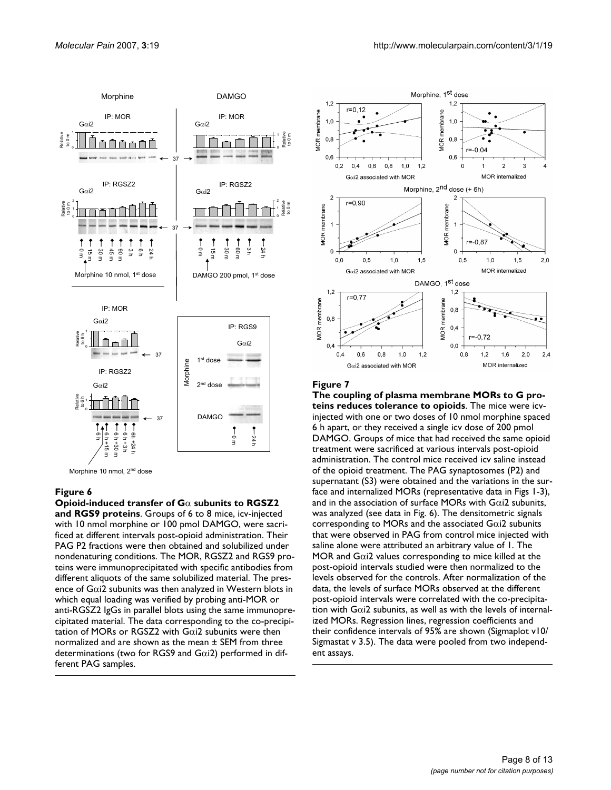

Morphine 10 nmol, 2<sup>nd</sup> dose

#### **Figure 6**

**Opioid-induced transfer of G**α **subunits to RGSZ2 and RGS9 proteins**. Groups of 6 to 8 mice, icv-injected with 10 nmol morphine or 100 pmol DAMGO, were sacrificed at different intervals post-opioid administration. Their PAG P2 fractions were then obtained and solubilized under nondenaturing conditions. The MOR, RGSZ2 and RGS9 proteins were immunoprecipitated with specific antibodies from different aliquots of the same solubilized material. The presence of Gαi2 subunits was then analyzed in Western blots in which equal loading was verified by probing anti-MOR or anti-RGSZ2 IgGs in parallel blots using the same immunoprecipitated material. The data corresponding to the co-precipitation of MORs or RGSZ2 with Gαi2 subunits were then normalized and are shown as the mean ± SEM from three determinations (two for RGS9 and Gαi2) performed in dif-



#### Figure 7

**The coupling of plasma membrane MORs to G proteins reduces tolerance to opioids**. The mice were icvinjected with one or two doses of 10 nmol morphine spaced 6 h apart, or they received a single icv dose of 200 pmol DAMGO. Groups of mice that had received the same opioid treatment were sacrificed at various intervals post-opioid administration. The control mice received icv saline instead of the opioid treatment. The PAG synaptosomes (P2) and supernatant (S3) were obtained and the variations in the surface and internalized MORs (representative data in Figs 1-3), and in the association of surface MORs with  $G\alpha$  i2 subunits, was analyzed (see data in Fig. 6). The densitometric signals corresponding to MORs and the associated  $Gai2$  subunits that were observed in PAG from control mice injected with saline alone were attributed an arbitrary value of 1. The MOR and G $\alpha$ i2 values corresponding to mice killed at the post-opioid intervals studied were then normalized to the levels observed for the controls. After normalization of the data, the levels of surface MORs observed at the different post-opioid intervals were correlated with the co-precipitation with  $Gai2$  subunits, as well as with the levels of internalized MORs. Regression lines, regression coefficients and their confidence intervals of 95% are shown (Sigmaplot v10/ Sigmastat v 3.5). The data were pooled from two independent assays.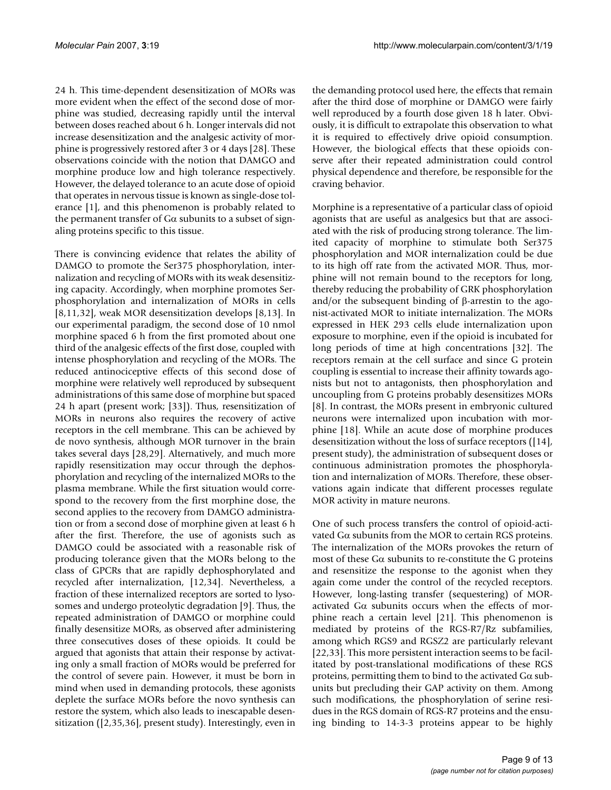24 h. This time-dependent desensitization of MORs was more evident when the effect of the second dose of morphine was studied, decreasing rapidly until the interval between doses reached about 6 h. Longer intervals did not increase desensitization and the analgesic activity of morphine is progressively restored after 3 or 4 days [28]. These observations coincide with the notion that DAMGO and morphine produce low and high tolerance respectively. However, the delayed tolerance to an acute dose of opioid that operates in nervous tissue is known as single-dose tolerance [1], and this phenomenon is probably related to the permanent transfer of  $Ga$  subunits to a subset of signaling proteins specific to this tissue.

There is convincing evidence that relates the ability of DAMGO to promote the Ser375 phosphorylation, internalization and recycling of MORs with its weak desensitizing capacity. Accordingly, when morphine promotes Serphosphorylation and internalization of MORs in cells [8,11,32], weak MOR desensitization develops [8,13]. In our experimental paradigm, the second dose of 10 nmol morphine spaced 6 h from the first promoted about one third of the analgesic effects of the first dose, coupled with intense phosphorylation and recycling of the MORs. The reduced antinociceptive effects of this second dose of morphine were relatively well reproduced by subsequent administrations of this same dose of morphine but spaced 24 h apart (present work; [33]). Thus, resensitization of MORs in neurons also requires the recovery of active receptors in the cell membrane. This can be achieved by de novo synthesis, although MOR turnover in the brain takes several days [28,29]. Alternatively, and much more rapidly resensitization may occur through the dephosphorylation and recycling of the internalized MORs to the plasma membrane. While the first situation would correspond to the recovery from the first morphine dose, the second applies to the recovery from DAMGO administration or from a second dose of morphine given at least 6 h after the first. Therefore, the use of agonists such as DAMGO could be associated with a reasonable risk of producing tolerance given that the MORs belong to the class of GPCRs that are rapidly dephosphorylated and recycled after internalization, [12,34]. Nevertheless, a fraction of these internalized receptors are sorted to lysosomes and undergo proteolytic degradation [9]. Thus, the repeated administration of DAMGO or morphine could finally desensitize MORs, as observed after administering three consecutives doses of these opioids. It could be argued that agonists that attain their response by activating only a small fraction of MORs would be preferred for the control of severe pain. However, it must be born in mind when used in demanding protocols, these agonists deplete the surface MORs before the novo synthesis can restore the system, which also leads to inescapable desensitization ([2,35,36], present study). Interestingly, even in

the demanding protocol used here, the effects that remain after the third dose of morphine or DAMGO were fairly well reproduced by a fourth dose given 18 h later. Obviously, it is difficult to extrapolate this observation to what it is required to effectively drive opioid consumption. However, the biological effects that these opioids conserve after their repeated administration could control physical dependence and therefore, be responsible for the craving behavior.

Morphine is a representative of a particular class of opioid agonists that are useful as analgesics but that are associated with the risk of producing strong tolerance. The limited capacity of morphine to stimulate both Ser375 phosphorylation and MOR internalization could be due to its high off rate from the activated MOR. Thus, morphine will not remain bound to the receptors for long, thereby reducing the probability of GRK phosphorylation and/or the subsequent binding of β-arrestin to the agonist-activated MOR to initiate internalization. The MORs expressed in HEK 293 cells elude internalization upon exposure to morphine, even if the opioid is incubated for long periods of time at high concentrations [32]. The receptors remain at the cell surface and since G protein coupling is essential to increase their affinity towards agonists but not to antagonists, then phosphorylation and uncoupling from G proteins probably desensitizes MORs [8]. In contrast, the MORs present in embryonic cultured neurons were internalized upon incubation with morphine [18]. While an acute dose of morphine produces desensitization without the loss of surface receptors ([14], present study), the administration of subsequent doses or continuous administration promotes the phosphorylation and internalization of MORs. Therefore, these observations again indicate that different processes regulate MOR activity in mature neurons.

One of such process transfers the control of opioid-activated Gα subunits from the MOR to certain RGS proteins. The internalization of the MORs provokes the return of most of these  $Ga$  subunits to re-constitute the G proteins and resensitize the response to the agonist when they again come under the control of the recycled receptors. However, long-lasting transfer (sequestering) of MORactivated  $G\alpha$  subunits occurs when the effects of morphine reach a certain level [21]. This phenomenon is mediated by proteins of the RGS-R7/Rz subfamilies, among which RGS9 and RGSZ2 are particularly relevant [22,33]. This more persistent interaction seems to be facilitated by post-translational modifications of these RGS proteins, permitting them to bind to the activated  $Ga$  subunits but precluding their GAP activity on them. Among such modifications, the phosphorylation of serine residues in the RGS domain of RGS-R7 proteins and the ensuing binding to 14-3-3 proteins appear to be highly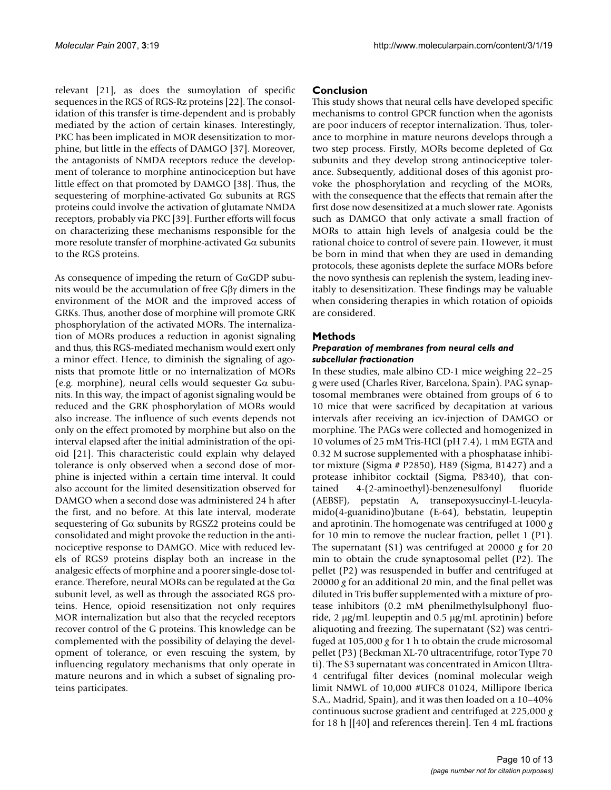relevant [21], as does the sumoylation of specific sequences in the RGS of RGS-Rz proteins [22]. The consolidation of this transfer is time-dependent and is probably mediated by the action of certain kinases. Interestingly, PKC has been implicated in MOR desensitization to morphine, but little in the effects of DAMGO [37]. Moreover, the antagonists of NMDA receptors reduce the development of tolerance to morphine antinociception but have little effect on that promoted by DAMGO [38]. Thus, the sequestering of morphine-activated  $Ga$  subunits at RGS proteins could involve the activation of glutamate NMDA receptors, probably via PKC [39]. Further efforts will focus on characterizing these mechanisms responsible for the more resolute transfer of morphine-activated Gα subunits to the RGS proteins.

As consequence of impeding the return of  $GaGDP$  subunits would be the accumulation of free Gβγ dimers in the environment of the MOR and the improved access of GRKs. Thus, another dose of morphine will promote GRK phosphorylation of the activated MORs. The internalization of MORs produces a reduction in agonist signaling and thus, this RGS-mediated mechanism would exert only a minor effect. Hence, to diminish the signaling of agonists that promote little or no internalization of MORs (e.g. morphine), neural cells would sequester Gα subunits. In this way, the impact of agonist signaling would be reduced and the GRK phosphorylation of MORs would also increase. The influence of such events depends not only on the effect promoted by morphine but also on the interval elapsed after the initial administration of the opioid [21]. This characteristic could explain why delayed tolerance is only observed when a second dose of morphine is injected within a certain time interval. It could also account for the limited desensitization observed for DAMGO when a second dose was administered 24 h after the first, and no before. At this late interval, moderate sequestering of  $Ga$  subunits by RGSZ2 proteins could be consolidated and might provoke the reduction in the antinociceptive response to DAMGO. Mice with reduced levels of RGS9 proteins display both an increase in the analgesic effects of morphine and a poorer single-dose tolerance. Therefore, neural MORs can be regulated at the  $G\alpha$ subunit level, as well as through the associated RGS proteins. Hence, opioid resensitization not only requires MOR internalization but also that the recycled receptors recover control of the G proteins. This knowledge can be complemented with the possibility of delaying the development of tolerance, or even rescuing the system, by influencing regulatory mechanisms that only operate in mature neurons and in which a subset of signaling proteins participates.

# **Conclusion**

This study shows that neural cells have developed specific mechanisms to control GPCR function when the agonists are poor inducers of receptor internalization. Thus, tolerance to morphine in mature neurons develops through a two step process. Firstly, MORs become depleted of Gα subunits and they develop strong antinociceptive tolerance. Subsequently, additional doses of this agonist provoke the phosphorylation and recycling of the MORs, with the consequence that the effects that remain after the first dose now desensitized at a much slower rate. Agonists such as DAMGO that only activate a small fraction of MORs to attain high levels of analgesia could be the rational choice to control of severe pain. However, it must be born in mind that when they are used in demanding protocols, these agonists deplete the surface MORs before the novo synthesis can replenish the system, leading inevitably to desensitization. These findings may be valuable when considering therapies in which rotation of opioids are considered.

# **Methods**

### *Preparation of membranes from neural cells and subcellular fractionation*

In these studies, male albino CD-1 mice weighing 22–25 g were used (Charles River, Barcelona, Spain). PAG synaptosomal membranes were obtained from groups of 6 to 10 mice that were sacrificed by decapitation at various intervals after receiving an icv-injection of DAMGO or morphine. The PAGs were collected and homogenized in 10 volumes of 25 mM Tris-HCl (pH 7.4), 1 mM EGTA and 0.32 M sucrose supplemented with a phosphatase inhibitor mixture (Sigma # P2850), H89 (Sigma, B1427) and a protease inhibitor cocktail (Sigma, P8340), that contained 4-(2-aminoethyl)-benzenesulfonyl fluoride (AEBSF), pepstatin A, transepoxysuccinyl-L-leucylamido(4-guanidino)butane (E-64), bebstatin, leupeptin and aprotinin. The homogenate was centrifuged at 1000 *g* for 10 min to remove the nuclear fraction, pellet 1 (P1). The supernatant (S1) was centrifuged at 20000 *g* for 20 min to obtain the crude synaptosomal pellet (P2). The pellet (P2) was resuspended in buffer and centrifuged at 20000 *g* for an additional 20 min, and the final pellet was diluted in Tris buffer supplemented with a mixture of protease inhibitors (0.2 mM phenilmethylsulphonyl fluoride, 2 µg/mL leupeptin and 0.5 µg/mL aprotinin) before aliquoting and freezing. The supernatant (S2) was centrifuged at 105,000 *g* for 1 h to obtain the crude microsomal pellet (P3) (Beckman XL-70 ultracentrifuge, rotor Type 70 ti). The S3 supernatant was concentrated in Amicon Ultra-4 centrifugal filter devices (nominal molecular weigh limit NMWL of 10,000 #UFC8 01024, Millipore Iberica S.A., Madrid, Spain), and it was then loaded on a 10–40% continuous sucrose gradient and centrifuged at 225,000 *g* for 18 h [[40] and references therein]. Ten 4 mL fractions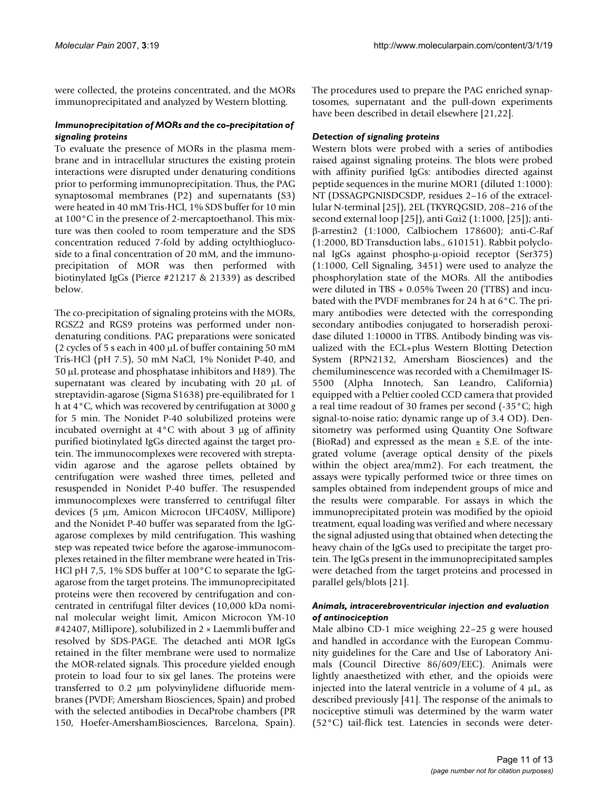were collected, the proteins concentrated, and the MORs immunoprecipitated and analyzed by Western blotting.

### *Immunoprecipitation of MORs and the co-precipitation of signaling proteins*

To evaluate the presence of MORs in the plasma membrane and in intracellular structures the existing protein interactions were disrupted under denaturing conditions prior to performing immunoprecipitation. Thus, the PAG synaptosomal membranes (P2) and supernatants (S3) were heated in 40 mM Tris-HCl, 1% SDS buffer for 10 min at 100°C in the presence of 2-mercaptoethanol. This mixture was then cooled to room temperature and the SDS concentration reduced 7-fold by adding octylthioglucoside to a final concentration of 20 mM, and the immunoprecipitation of MOR was then performed with biotinylated IgGs (Pierce #21217 & 21339) as described below.

The co-precipitation of signaling proteins with the MORs, RGSZ2 and RGS9 proteins was performed under nondenaturing conditions. PAG preparations were sonicated (2 cycles of 5 s each in 400 µL of buffer containing 50 mM Tris-HCl (pH 7.5), 50 mM NaCl, 1% Nonidet P-40, and 50 µL protease and phosphatase inhibitors and H89). The supernatant was cleared by incubating with 20 µL of streptavidin-agarose (Sigma S1638) pre-equilibrated for 1 h at 4°C, which was recovered by centrifugation at 3000 *g* for 5 min. The Nonidet P-40 solubilized proteins were incubated overnight at  $4^{\circ}$ C with about 3 µg of affinity purified biotinylated IgGs directed against the target protein. The immunocomplexes were recovered with streptavidin agarose and the agarose pellets obtained by centrifugation were washed three times, pelleted and resuspended in Nonidet P-40 buffer. The resuspended immunocomplexes were transferred to centrifugal filter devices (5 µm, Amicon Microcon UFC40SV, Millipore) and the Nonidet P-40 buffer was separated from the IgGagarose complexes by mild centrifugation. This washing step was repeated twice before the agarose-immunocomplexes retained in the filter membrane were heated in Tris-HCl pH 7,5, 1% SDS buffer at 100°C to separate the IgGagarose from the target proteins. The immunoprecipitated proteins were then recovered by centrifugation and concentrated in centrifugal filter devices (10,000 kDa nominal molecular weight limit, Amicon Microcon YM-10 #42407, Millipore), solubilized in 2 × Laemmli buffer and resolved by SDS-PAGE. The detached anti MOR IgGs retained in the filter membrane were used to normalize the MOR-related signals. This procedure yielded enough protein to load four to six gel lanes. The proteins were transferred to 0.2 µm polyvinylidene difluoride membranes (PVDF; Amersham Biosciences, Spain) and probed with the selected antibodies in DecaProbe chambers (PR 150, Hoefer-AmershamBiosciences, Barcelona, Spain).

The procedures used to prepare the PAG enriched synaptosomes, supernatant and the pull-down experiments have been described in detail elsewhere [21,22].

# *Detection of signaling proteins*

Western blots were probed with a series of antibodies raised against signaling proteins. The blots were probed with affinity purified IgGs: antibodies directed against peptide sequences in the murine MOR1 (diluted 1:1000): NT (DSSAGPGNISDCSDP, residues 2–16 of the extracellular N-terminal [25]), 2EL (TKYRQGSID, 208–216 of the second external loop [25]), anti Gαi2 (1:1000, [25]); antiβ-arrestin2 (1:1000, Calbiochem 178600); anti-C-Raf (1:2000, BD Transduction labs., 610151). Rabbit polyclonal IgGs against phospho-µ-opioid receptor (Ser375) (1:1000, Cell Signaling, 3451) were used to analyze the phosphorylation state of the MORs. All the antibodies were diluted in TBS + 0.05% Tween 20 (TTBS) and incubated with the PVDF membranes for 24 h at 6°C. The primary antibodies were detected with the corresponding secondary antibodies conjugated to horseradish peroxidase diluted 1:10000 in TTBS. Antibody binding was visualized with the ECL+plus Western Blotting Detection System (RPN2132, Amersham Biosciences) and the chemiluminescence was recorded with a ChemiImager IS-5500 (Alpha Innotech, San Leandro, California) equipped with a Peltier cooled CCD camera that provided a real time readout of 30 frames per second (-35°C; high signal-to-noise ratio; dynamic range up of 3.4 OD). Densitometry was performed using Quantity One Software (BioRad) and expressed as the mean  $\pm$  S.E. of the integrated volume (average optical density of the pixels within the object area/mm2). For each treatment, the assays were typically performed twice or three times on samples obtained from independent groups of mice and the results were comparable. For assays in which the immunoprecipitated protein was modified by the opioid treatment, equal loading was verified and where necessary the signal adjusted using that obtained when detecting the heavy chain of the IgGs used to precipitate the target protein. The IgGs present in the immunoprecipitated samples were detached from the target proteins and processed in parallel gels/blots [21].

### *Animals, intracerebroventricular injection and evaluation of antinociception*

Male albino CD-1 mice weighing 22–25 g were housed and handled in accordance with the European Community guidelines for the Care and Use of Laboratory Animals (Council Directive 86/609/EEC). Animals were lightly anaesthetized with ether, and the opioids were injected into the lateral ventricle in a volume of  $4 \mu L$ , as described previously [41]. The response of the animals to nociceptive stimuli was determined by the warm water (52°C) tail-flick test. Latencies in seconds were deter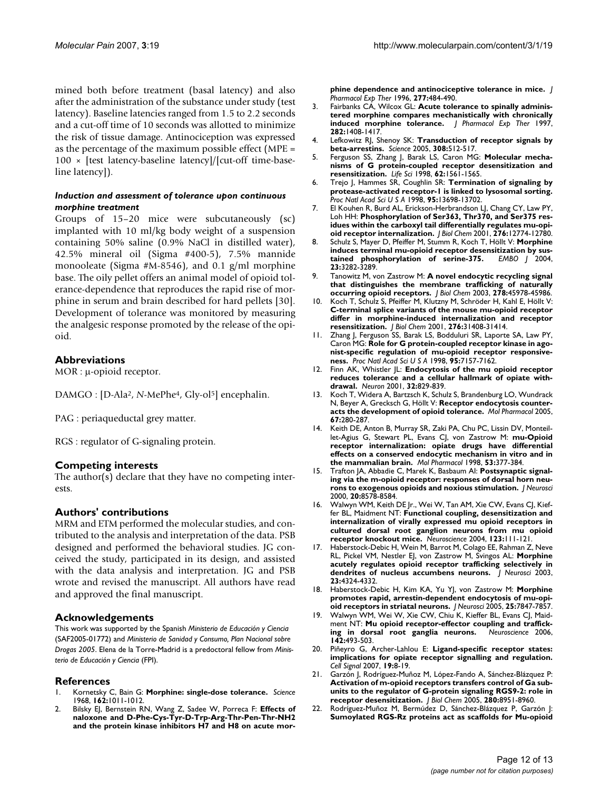mined both before treatment (basal latency) and also after the administration of the substance under study (test latency). Baseline latencies ranged from 1.5 to 2.2 seconds and a cut-off time of 10 seconds was allotted to minimize the risk of tissue damage. Antinociception was expressed as the percentage of the maximum possible effect (MPE = 100 × [test latency-baseline latency]/[cut-off time-baseline latency]).

# *Induction and assessment of tolerance upon continuous morphine treatment*

Groups of 15–20 mice were subcutaneously (sc) implanted with 10 ml/kg body weight of a suspension containing 50% saline (0.9% NaCl in distilled water), 42.5% mineral oil (Sigma #400-5), 7.5% mannide monooleate (Sigma #M-8546), and 0.1 g/ml morphine base. The oily pellet offers an animal model of opioid tolerance-dependence that reproduces the rapid rise of morphine in serum and brain described for hard pellets [30]. Development of tolerance was monitored by measuring the analgesic response promoted by the release of the opioid.

# **Abbreviations**

MOR :  $\mu$ -opioid receptor.

DAMGO : [D-Ala<sup>2</sup>, N-MePhe<sup>4</sup>, Gly-ol<sup>5</sup>] encephalin.

PAG : periaqueductal grey matter.

RGS : regulator of G-signaling protein.

# **Competing interests**

The author(s) declare that they have no competing interests.

# **Authors' contributions**

MRM and ETM performed the molecular studies, and contributed to the analysis and interpretation of the data. PSB designed and performed the behavioral studies. JG conceived the study, participated in its design, and assisted with the data analysis and interpretation. JG and PSB wrote and revised the manuscript. All authors have read and approved the final manuscript.

# **Acknowledgements**

This work was supported by the Spanish *Ministerio de Educación y Ciencia*  (SAF2005-01772) and *Ministerio de Sanidad y Consumo, Plan Nacional sobre Drogas 2005*. Elena de la Torre-Madrid is a predoctoral fellow from *Ministerio de Educación y Ciencia* (FPI).

### **References**

- 1. Kornetsky C, Bain G: **[Morphine: single-dose tolerance.](http://www.ncbi.nlm.nih.gov/entrez/query.fcgi?cmd=Retrieve&db=PubMed&dopt=Abstract&list_uids=5698838)** *Science* 1968, **162:**1011-1012.
- 2. Bilsky EJ, Bernstein RN, Wang Z, Sadee W, Porreca F: **[Effects of](http://www.ncbi.nlm.nih.gov/entrez/query.fcgi?cmd=Retrieve&db=PubMed&dopt=Abstract&list_uids=8613958) naloxone and D-Phe-Cys-Tyr-D-Trp-Arg-Thr-Pen-Thr-NH2 [and the protein kinase inhibitors H7 and H8 on acute mor-](http://www.ncbi.nlm.nih.gov/entrez/query.fcgi?cmd=Retrieve&db=PubMed&dopt=Abstract&list_uids=8613958)**

**[phine dependence and antinociceptive tolerance in mice.](http://www.ncbi.nlm.nih.gov/entrez/query.fcgi?cmd=Retrieve&db=PubMed&dopt=Abstract&list_uids=8613958)** *J Pharmacol Exp Ther* 1996, **277:**484-490.

- 3. Fairbanks CA, Wilcox GL: **[Acute tolerance to spinally adminis](http://www.ncbi.nlm.nih.gov/entrez/query.fcgi?cmd=Retrieve&db=PubMed&dopt=Abstract&list_uids=9316854)[tered morphine compares mechanistically with chronically](http://www.ncbi.nlm.nih.gov/entrez/query.fcgi?cmd=Retrieve&db=PubMed&dopt=Abstract&list_uids=9316854) [induced morphine tolerance.](http://www.ncbi.nlm.nih.gov/entrez/query.fcgi?cmd=Retrieve&db=PubMed&dopt=Abstract&list_uids=9316854)** *J Pharmacol Exp Ther* 1997, **282:**1408-1417.
- 4. Lefkowitz RJ, Shenoy SK: **[Transduction of receptor signals by](http://www.ncbi.nlm.nih.gov/entrez/query.fcgi?cmd=Retrieve&db=PubMed&dopt=Abstract&list_uids=15845844) [beta-arrestins.](http://www.ncbi.nlm.nih.gov/entrez/query.fcgi?cmd=Retrieve&db=PubMed&dopt=Abstract&list_uids=15845844)** *Science* 2005, **308:**512-517.
- 5. Ferguson SS, Zhang J, Barak LS, Caron MG: **[Molecular mecha](http://www.ncbi.nlm.nih.gov/entrez/query.fcgi?cmd=Retrieve&db=PubMed&dopt=Abstract&list_uids=9585136)[nisms of G protein-coupled receptor desensitization and](http://www.ncbi.nlm.nih.gov/entrez/query.fcgi?cmd=Retrieve&db=PubMed&dopt=Abstract&list_uids=9585136) [resensitization.](http://www.ncbi.nlm.nih.gov/entrez/query.fcgi?cmd=Retrieve&db=PubMed&dopt=Abstract&list_uids=9585136)** *Life Sci* 1998, **62:**1561-1565.
- 6. Trejo J, Hammes SR, Coughlin SR: **[Termination of signaling by](http://www.ncbi.nlm.nih.gov/entrez/query.fcgi?cmd=Retrieve&db=PubMed&dopt=Abstract&list_uids=9811863) [protease-activated receptor-1 is linked to lysosomal sorting.](http://www.ncbi.nlm.nih.gov/entrez/query.fcgi?cmd=Retrieve&db=PubMed&dopt=Abstract&list_uids=9811863)** *Proc Natl Acad Sci U S A* 1998, **95:**13698-13702.
- 7. El Kouhen R, Burd AL, Erickson-Herbrandson LJ, Chang CY, Law PY, Loh HH: **[Phosphorylation of Ser363, Thr370, and Ser375 res](http://www.ncbi.nlm.nih.gov/entrez/query.fcgi?cmd=Retrieve&db=PubMed&dopt=Abstract&list_uids=11278523)[idues within the carboxyl tail differentially regulates mu-opi](http://www.ncbi.nlm.nih.gov/entrez/query.fcgi?cmd=Retrieve&db=PubMed&dopt=Abstract&list_uids=11278523)[oid receptor internalization.](http://www.ncbi.nlm.nih.gov/entrez/query.fcgi?cmd=Retrieve&db=PubMed&dopt=Abstract&list_uids=11278523)** *J Biol Chem* 2001, **276:**12774-12780.
- 8. Schulz S, Mayer D, Pfeiffer M, Stumm R, Koch T, Höllt V: **[Morphine](http://www.ncbi.nlm.nih.gov/entrez/query.fcgi?cmd=Retrieve&db=PubMed&dopt=Abstract&list_uids=15272312) [induces terminal mu-opioid receptor desensitization by sus](http://www.ncbi.nlm.nih.gov/entrez/query.fcgi?cmd=Retrieve&db=PubMed&dopt=Abstract&list_uids=15272312)[tained phosphorylation of serine-375.](http://www.ncbi.nlm.nih.gov/entrez/query.fcgi?cmd=Retrieve&db=PubMed&dopt=Abstract&list_uids=15272312)** *EMBO J* 2004, **23:**3282-3289.
- 9. Tanowitz M, von Zastrow M: **[A novel endocytic recycling signal](http://www.ncbi.nlm.nih.gov/entrez/query.fcgi?cmd=Retrieve&db=PubMed&dopt=Abstract&list_uids=12939277) [that distinguishes the membrane trafficking of naturally](http://www.ncbi.nlm.nih.gov/entrez/query.fcgi?cmd=Retrieve&db=PubMed&dopt=Abstract&list_uids=12939277) [occurring opioid receptors.](http://www.ncbi.nlm.nih.gov/entrez/query.fcgi?cmd=Retrieve&db=PubMed&dopt=Abstract&list_uids=12939277)** *J Biol Chem* 2003, **278:**45978-45986.
- 10. Koch T, Schulz S, Pfeiffer M, Klutzny M, Schröder H, Kahl E, Höllt V: **C-terminal splice variants of the mouse mu-opioid receptor [differ in morphine-induced internalization and receptor](http://www.ncbi.nlm.nih.gov/entrez/query.fcgi?cmd=Retrieve&db=PubMed&dopt=Abstract&list_uids=11359768) [resensitization.](http://www.ncbi.nlm.nih.gov/entrez/query.fcgi?cmd=Retrieve&db=PubMed&dopt=Abstract&list_uids=11359768)** *J Biol Chem* 2001, **276:**31408-31414.
- 11. Zhang J, Ferguson SS, Barak LS, Bodduluri SR, Laporte SA, Law PY, Caron MG: **[Role for G protein-coupled receptor kinase in ago](http://www.ncbi.nlm.nih.gov/entrez/query.fcgi?cmd=Retrieve&db=PubMed&dopt=Abstract&list_uids=9618555)[nist-specific regulation of mu-opioid receptor responsive](http://www.ncbi.nlm.nih.gov/entrez/query.fcgi?cmd=Retrieve&db=PubMed&dopt=Abstract&list_uids=9618555)[ness.](http://www.ncbi.nlm.nih.gov/entrez/query.fcgi?cmd=Retrieve&db=PubMed&dopt=Abstract&list_uids=9618555)** *Proc Natl Acad Sci U S A* 1998, **95:**7157-7162.
- 12. Finn AK, Whistler JL: **[Endocytosis of the mu opioid receptor](http://www.ncbi.nlm.nih.gov/entrez/query.fcgi?cmd=Retrieve&db=PubMed&dopt=Abstract&list_uids=11738029) [reduces tolerance and a cellular hallmark of opiate with](http://www.ncbi.nlm.nih.gov/entrez/query.fcgi?cmd=Retrieve&db=PubMed&dopt=Abstract&list_uids=11738029)[drawal.](http://www.ncbi.nlm.nih.gov/entrez/query.fcgi?cmd=Retrieve&db=PubMed&dopt=Abstract&list_uids=11738029)** *Neuron* 2001, **32:**829-839.
- 13. Koch T, Widera A, Bartzsch K, Schulz S, Brandenburg LO, Wundrack N, Beyer A, Grecksch G, Höllt V: **[Receptor endocytosis counter](http://www.ncbi.nlm.nih.gov/entrez/query.fcgi?cmd=Retrieve&db=PubMed&dopt=Abstract&list_uids=15475572)[acts the development of opioid tolerance.](http://www.ncbi.nlm.nih.gov/entrez/query.fcgi?cmd=Retrieve&db=PubMed&dopt=Abstract&list_uids=15475572)** *Mol Pharmacol* 2005, **67:**280-287.
- 14. Keith DE, Anton B, Murray SR, Zaki PA, Chu PC, Lissin DV, Monteillet-Agius G, Stewart PL, Evans CJ, von Zastrow M: **[mu-Opioid](http://www.ncbi.nlm.nih.gov/entrez/query.fcgi?cmd=Retrieve&db=PubMed&dopt=Abstract&list_uids=9495801) receptor internalization: opiate drugs have differential [effects on a conserved endocytic mechanism in vitro and in](http://www.ncbi.nlm.nih.gov/entrez/query.fcgi?cmd=Retrieve&db=PubMed&dopt=Abstract&list_uids=9495801) [the mammalian brain.](http://www.ncbi.nlm.nih.gov/entrez/query.fcgi?cmd=Retrieve&db=PubMed&dopt=Abstract&list_uids=9495801)** *Mol Pharmacol* 1998, **53:**377-384.
- 15. Trafton JA, Abbadie C, Marek K, Basbaum AI: **[Postsynaptic signal](http://www.ncbi.nlm.nih.gov/entrez/query.fcgi?cmd=Retrieve&db=PubMed&dopt=Abstract&list_uids=11102461)[ing via the m-opioid receptor: responses of dorsal horn neu](http://www.ncbi.nlm.nih.gov/entrez/query.fcgi?cmd=Retrieve&db=PubMed&dopt=Abstract&list_uids=11102461)[rons to exogenous opioids and noxious stimulation.](http://www.ncbi.nlm.nih.gov/entrez/query.fcgi?cmd=Retrieve&db=PubMed&dopt=Abstract&list_uids=11102461)** *J Neurosci* 2000, **20:**8578-8584.
- 16. Walwyn WM, Keith DE Jr., Wei W, Tan AM, Xie CW, Evans CJ, Kieffer BL, Maidment NT: **[Functional coupling, desensitization and](http://www.ncbi.nlm.nih.gov/entrez/query.fcgi?cmd=Retrieve&db=PubMed&dopt=Abstract&list_uids=14667446) internalization of virally expressed mu opioid receptors in [cultured dorsal root ganglion neurons from mu opioid](http://www.ncbi.nlm.nih.gov/entrez/query.fcgi?cmd=Retrieve&db=PubMed&dopt=Abstract&list_uids=14667446) [receptor knockout mice.](http://www.ncbi.nlm.nih.gov/entrez/query.fcgi?cmd=Retrieve&db=PubMed&dopt=Abstract&list_uids=14667446)** *Neuroscience* 2004, **123:**111-121.
- 17. Haberstock-Debic H, Wein M, Barrot M, Colago EE, Rahman Z, Neve RL, Pickel VM, Nestler EJ, von Zastrow M, Svingos AL: **[Morphine](http://www.ncbi.nlm.nih.gov/entrez/query.fcgi?cmd=Retrieve&db=PubMed&dopt=Abstract&list_uids=12764121) [acutely regulates opioid receptor trafficking selectively in](http://www.ncbi.nlm.nih.gov/entrez/query.fcgi?cmd=Retrieve&db=PubMed&dopt=Abstract&list_uids=12764121) [dendrites of nucleus accumbens neurons.](http://www.ncbi.nlm.nih.gov/entrez/query.fcgi?cmd=Retrieve&db=PubMed&dopt=Abstract&list_uids=12764121)** *J Neurosci* 2003, **23:**4324-4332.
- 18. Haberstock-Debic H, Kim KA, Yu YJ, von Zastrow M: **[Morphine](http://www.ncbi.nlm.nih.gov/entrez/query.fcgi?cmd=Retrieve&db=PubMed&dopt=Abstract&list_uids=16120787) [promotes rapid, arrestin-dependent endocytosis of mu-opi](http://www.ncbi.nlm.nih.gov/entrez/query.fcgi?cmd=Retrieve&db=PubMed&dopt=Abstract&list_uids=16120787)[oid receptors in striatal neurons.](http://www.ncbi.nlm.nih.gov/entrez/query.fcgi?cmd=Retrieve&db=PubMed&dopt=Abstract&list_uids=16120787)** *J Neurosci* 2005, **25:**7847-7857.
- 19. Walwyn WM, Wei W, Xie CW, Chiu K, Kieffer BL, Evans CJ, Maidment NT: **[Mu opioid receptor-effector coupling and traffick](http://www.ncbi.nlm.nih.gov/entrez/query.fcgi?cmd=Retrieve&db=PubMed&dopt=Abstract&list_uids=16887280)[ing in dorsal root ganglia neurons.](http://www.ncbi.nlm.nih.gov/entrez/query.fcgi?cmd=Retrieve&db=PubMed&dopt=Abstract&list_uids=16887280)** *Neuroscience* 2006, **142:**493-503.
- 20. Piñeyro G, Archer-Lahlou E: **[Ligand-specific receptor states:](http://www.ncbi.nlm.nih.gov/entrez/query.fcgi?cmd=Retrieve&db=PubMed&dopt=Abstract&list_uids=16842969) [implications for opiate receptor signalling and regulation.](http://www.ncbi.nlm.nih.gov/entrez/query.fcgi?cmd=Retrieve&db=PubMed&dopt=Abstract&list_uids=16842969)** *Cell Signal* 2007, **19:**8-19.
- 21. Garzón J, Rodríguez-Muñoz M, López-Fando A, Sánchez-Blázquez P: **Activation of m-opioid receptors transfers control of Ga sub[units to the regulator of G-protein signaling RGS9-2: role in](http://www.ncbi.nlm.nih.gov/entrez/query.fcgi?cmd=Retrieve&db=PubMed&dopt=Abstract&list_uids=15632124) [receptor desensitization.](http://www.ncbi.nlm.nih.gov/entrez/query.fcgi?cmd=Retrieve&db=PubMed&dopt=Abstract&list_uids=15632124)** *J Biol Chem* 2005, **280:**8951-8960.
- 22. Rodríguez-Muñoz M, Bermúdez D, Sánchez-Blázquez P, Garzón J: **[Sumoylated RGS-Rz proteins act as scaffolds for Mu-opioid](http://www.ncbi.nlm.nih.gov/entrez/query.fcgi?cmd=Retrieve&db=PubMed&dopt=Abstract&list_uids=16900103)**